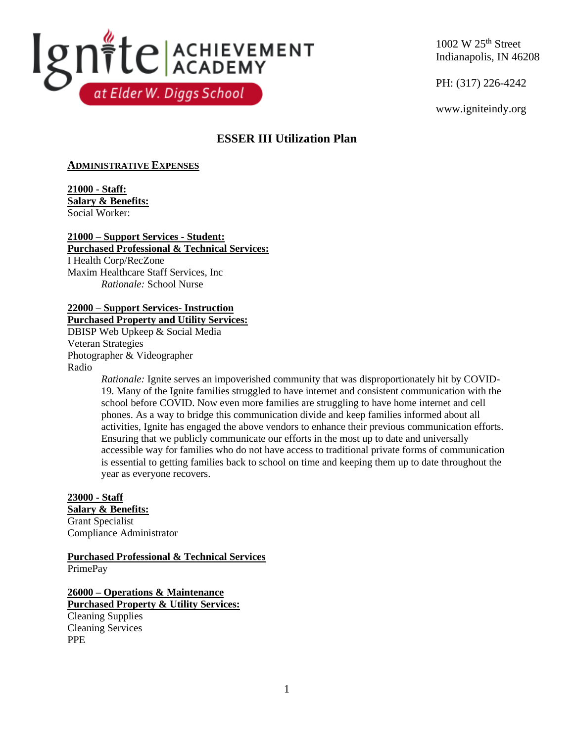

1002 W 25th Street Indianapolis, IN 46208

PH: (317) 226-4242

www.igniteindy.org

# **ESSER III Utilization Plan**

# **ADMINISTRATIVE EXPENSES**

**21000 - Staff: Salary & Benefits:** Social Worker:

#### **21000 – Support Services - Student: Purchased Professional & Technical Services:**

I Health Corp/RecZone Maxim Healthcare Staff Services, Inc *Rationale:* School Nurse

# **22000 – Support Services- Instruction Purchased Property and Utility Services:**

DBISP Web Upkeep & Social Media Veteran Strategies Photographer & Videographer Radio

*Rationale:* Ignite serves an impoverished community that was disproportionately hit by COVID-19. Many of the Ignite families struggled to have internet and consistent communication with the school before COVID. Now even more families are struggling to have home internet and cell phones. As a way to bridge this communication divide and keep families informed about all activities, Ignite has engaged the above vendors to enhance their previous communication efforts. Ensuring that we publicly communicate our efforts in the most up to date and universally accessible way for families who do not have access to traditional private forms of communication is essential to getting families back to school on time and keeping them up to date throughout the year as everyone recovers.

# **23000 - Staff**

**Salary & Benefits:** Grant Specialist Compliance Administrator

**Purchased Professional & Technical Services** PrimePay

**26000 – Operations & Maintenance Purchased Property & Utility Services:** Cleaning Supplies Cleaning Services PPE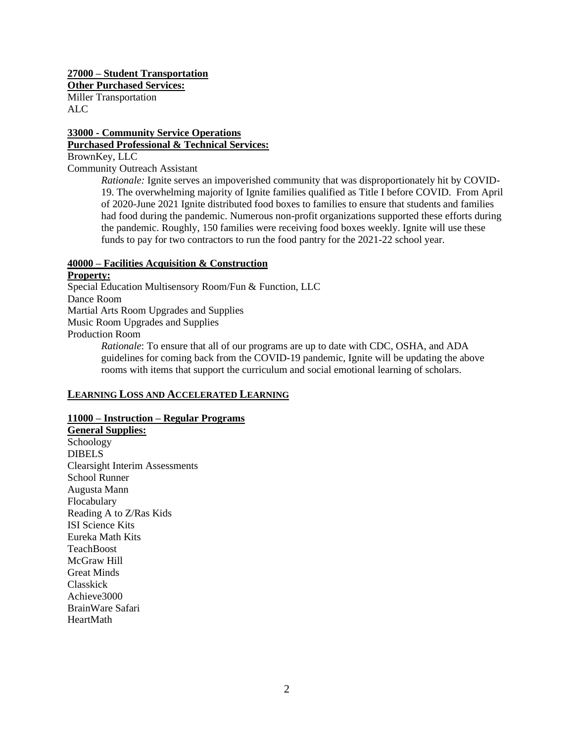**27000 – Student Transportation Other Purchased Services:** Miller Transportation ALC

# **33000 - Community Service Operations Purchased Professional & Technical Services:**

BrownKey, LLC

Community Outreach Assistant

*Rationale:* Ignite serves an impoverished community that was disproportionately hit by COVID-19. The overwhelming majority of Ignite families qualified as Title I before COVID. From April of 2020-June 2021 Ignite distributed food boxes to families to ensure that students and families had food during the pandemic. Numerous non-profit organizations supported these efforts during the pandemic. Roughly, 150 families were receiving food boxes weekly. Ignite will use these funds to pay for two contractors to run the food pantry for the 2021-22 school year.

#### **40000 – Facilities Acquisition & Construction Property:**

Special Education Multisensory Room/Fun & Function, LLC Dance Room Martial Arts Room Upgrades and Supplies Music Room Upgrades and Supplies Production Room

*Rationale*: To ensure that all of our programs are up to date with CDC, OSHA, and ADA guidelines for coming back from the COVID-19 pandemic, Ignite will be updating the above rooms with items that support the curriculum and social emotional learning of scholars.

## **LEARNING LOSS AND ACCELERATED LEARNING**

## **11000 – Instruction – Regular Programs**

**General Supplies:** Schoology DIBELS Clearsight Interim Assessments School Runner Augusta Mann Flocabulary Reading A to Z/Ras Kids ISI Science Kits Eureka Math Kits **TeachBoost** McGraw Hill Great Minds Classkick Achieve3000 BrainWare Safari **HeartMath**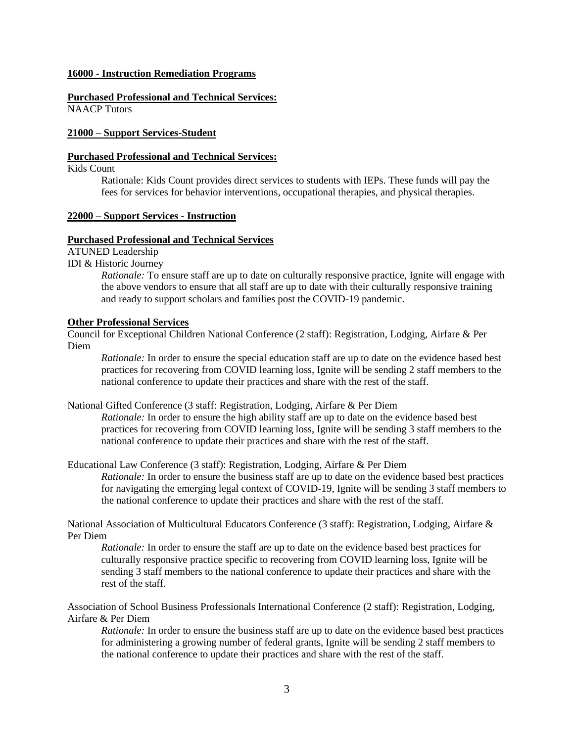#### **16000 - Instruction Remediation Programs**

**Purchased Professional and Technical Services:** NAACP Tutors

#### **21000 – Support Services-Student**

#### **Purchased Professional and Technical Services:**

### Kids Count

Rationale: Kids Count provides direct services to students with IEPs. These funds will pay the fees for services for behavior interventions, occupational therapies, and physical therapies.

### **22000 – Support Services - Instruction**

#### **Purchased Professional and Technical Services**

ATUNED Leadership

IDI & Historic Journey

*Rationale:* To ensure staff are up to date on culturally responsive practice, Ignite will engage with the above vendors to ensure that all staff are up to date with their culturally responsive training and ready to support scholars and families post the COVID-19 pandemic.

#### **Other Professional Services**

Council for Exceptional Children National Conference (2 staff): Registration, Lodging, Airfare & Per Diem

*Rationale:* In order to ensure the special education staff are up to date on the evidence based best practices for recovering from COVID learning loss, Ignite will be sending 2 staff members to the national conference to update their practices and share with the rest of the staff.

#### National Gifted Conference (3 staff: Registration, Lodging, Airfare & Per Diem

*Rationale:* In order to ensure the high ability staff are up to date on the evidence based best practices for recovering from COVID learning loss, Ignite will be sending 3 staff members to the national conference to update their practices and share with the rest of the staff.

#### Educational Law Conference (3 staff): Registration, Lodging, Airfare & Per Diem

*Rationale:* In order to ensure the business staff are up to date on the evidence based best practices for navigating the emerging legal context of COVID-19, Ignite will be sending 3 staff members to the national conference to update their practices and share with the rest of the staff.

National Association of Multicultural Educators Conference (3 staff): Registration, Lodging, Airfare & Per Diem

*Rationale:* In order to ensure the staff are up to date on the evidence based best practices for culturally responsive practice specific to recovering from COVID learning loss, Ignite will be sending 3 staff members to the national conference to update their practices and share with the rest of the staff.

Association of School Business Professionals International Conference (2 staff): Registration, Lodging, Airfare & Per Diem

*Rationale:* In order to ensure the business staff are up to date on the evidence based best practices for administering a growing number of federal grants, Ignite will be sending 2 staff members to the national conference to update their practices and share with the rest of the staff.